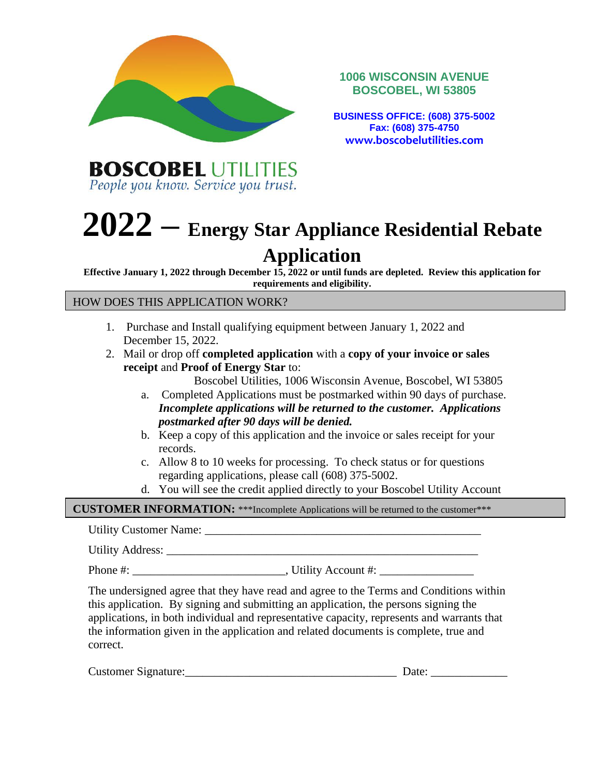

**1006 WISCONSIN AVENUE BOSCOBEL, WI 53805**

**BUSINESS OFFICE: (608) 375-5002 Fax: (608) 375-4750 www.boscobelutilities.com**

**BOSCOBEL UTILITIES** People you know. Service you trust.

# **2022 – Energy Star Appliance Residential Rebate**

# **Application**

**Effective January 1, 2022 through December 15, 2022 or until funds are depleted. Review this application for requirements and eligibility.**

HOW DOES THIS APPLICATION WORK?

- 1. Purchase and Install qualifying equipment between January 1, 2022 and December 15, 2022.
- 2. Mail or drop off **completed application** with a **copy of your invoice or sales receipt** and **Proof of Energy Star** to:

Boscobel Utilities, 1006 Wisconsin Avenue, Boscobel, WI 53805

- a. Completed Applications must be postmarked within 90 days of purchase. *Incomplete applications will be returned to the customer. Applications postmarked after 90 days will be denied.*
- b. Keep a copy of this application and the invoice or sales receipt for your records.
- c. Allow 8 to 10 weeks for processing. To check status or for questions regarding applications, please call (608) 375-5002.
- d. You will see the credit applied directly to your Boscobel Utility Account

**CUSTOMER INFORMATION:** \*\*\*Incomplete Applications will be returned to the customer\*\*\*

Utility Customer Name: \_\_\_\_\_\_\_\_\_\_\_\_\_\_\_\_\_\_\_\_\_\_\_\_\_\_\_\_\_\_\_\_\_\_\_\_\_\_\_\_\_\_\_\_\_\_\_

Utility Address: \_\_\_\_\_\_\_\_\_\_\_\_\_\_\_\_\_\_\_\_\_\_\_\_\_\_\_\_\_\_\_\_\_\_\_\_\_\_\_\_\_\_\_\_\_\_\_\_\_\_\_\_\_

Phone #: \_\_\_\_\_\_\_\_\_\_\_\_\_\_\_\_\_\_\_\_\_\_\_\_\_\_, Utility Account #: \_\_\_\_\_\_\_\_\_\_\_\_\_\_\_\_

The undersigned agree that they have read and agree to the Terms and Conditions within this application. By signing and submitting an application, the persons signing the applications, in both individual and representative capacity, represents and warrants that the information given in the application and related documents is complete, true and correct.

| Customer Signature: | Date: |  |
|---------------------|-------|--|
|                     |       |  |